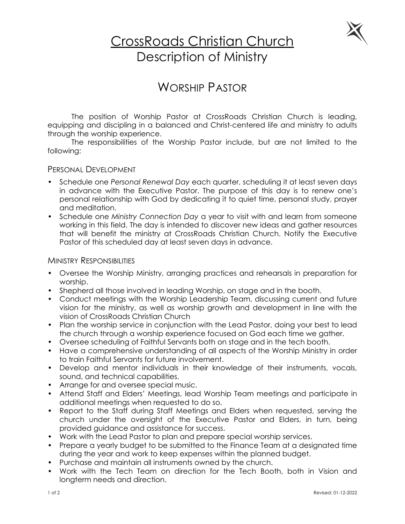

# CrossRoads Christian Church Description of Ministry

# WORSHIP PASTOR

The position of Worship Pastor at CrossRoads Christian Church is leading, equipping and discipling in a balanced and Christ-centered life and ministry to adults through the worship experience.

The responsibilities of the Worship Pastor include, but are not limited to the following:

## PERSONAL DEVELOPMENT

- Schedule one *Personal Renewal Day* each quarter, scheduling it at least seven days in advance with the Executive Pastor. The purpose of this day is to renew one's personal relationship with God by dedicating it to quiet time, personal study, prayer and meditation.
- Schedule one *Ministry Connection Day* a year to visit with and learn from someone working in this field. The day is intended to discover new ideas and gather resources that will benefit the ministry at CrossRoads Christian Church. Notify the Executive Pastor of this scheduled day at least seven days in advance.

#### MINISTRY RESPONSIBILITIES

- Oversee the Worship Ministry, arranging practices and rehearsals in preparation for worship.
- Shepherd all those involved in leading Worship, on stage and in the booth.
- Conduct meetings with the Worship Leadership Team, discussing current and future vision for the ministry, as well as worship growth and development in line with the vision of CrossRoads Christian Church
- Plan the worship service in conjunction with the Lead Pastor, doing your best to lead the church through a worship experience focused on God each time we gather.
- Oversee scheduling of Faithful Servants both on stage and in the tech booth.
- Have a comprehensive understanding of all aspects of the Worship Ministry in order to train Faithful Servants for future involvement.
- Develop and mentor individuals in their knowledge of their instruments, vocals, sound, and technical capabilities.
- Arrange for and oversee special music.
- Attend Staff and Elders' Meetings, lead Worship Team meetings and participate in additional meetings when requested to do so.
- Report to the Staff during Staff Meetings and Elders when requested, serving the church under the oversight of the Executive Pastor and Elders, in turn, being provided guidance and assistance for success.
- Work with the Lead Pastor to plan and prepare special worship services.
- Prepare a yearly budget to be submitted to the Finance Team at a designated time during the year and work to keep expenses within the planned budget.
- Purchase and maintain all instruments owned by the church.
- Work with the Tech Team on direction for the Tech Booth, both in Vision and longterm needs and direction.